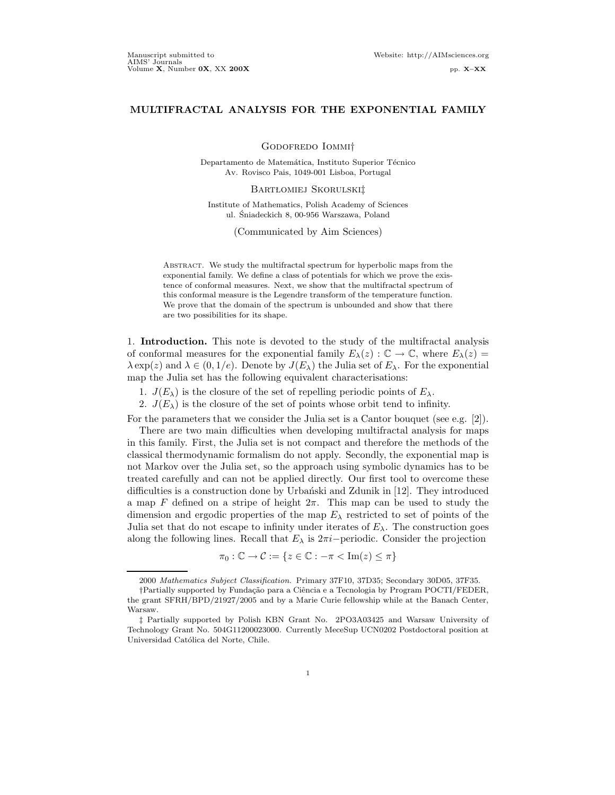# MULTIFRACTAL ANALYSIS FOR THE EXPONENTIAL FAMILY

Godofredo Iommi†

Departamento de Matemática, Instituto Superior Técnico Av. Rovisco Pais, 1049-001 Lisboa, Portugal

#### BARTŁOMIEJ SKORULSKI‡

Institute of Mathematics, Polish Academy of Sciences ul. Sniadeckich 8, 00-956 Warszawa, Poland ´

(Communicated by Aim Sciences)

ABSTRACT. We study the multifractal spectrum for hyperbolic maps from the exponential family. We define a class of potentials for which we prove the existence of conformal measures. Next, we show that the multifractal spectrum of this conformal measure is the Legendre transform of the temperature function. We prove that the domain of the spectrum is unbounded and show that there are two possibilities for its shape.

1. Introduction. This note is devoted to the study of the multifractal analysis of conformal measures for the exponential family  $E_{\lambda}(z): \mathbb{C} \to \mathbb{C}$ , where  $E_{\lambda}(z) =$  $\lambda \exp(z)$  and  $\lambda \in (0, 1/e)$ . Denote by  $J(E_\lambda)$  the Julia set of  $E_\lambda$ . For the exponential map the Julia set has the following equivalent characterisations:

- 1.  $J(E_{\lambda})$  is the closure of the set of repelling periodic points of  $E_{\lambda}$ .
- 2.  $J(E_{\lambda})$  is the closure of the set of points whose orbit tend to infinity.

For the parameters that we consider the Julia set is a Cantor bouquet (see e.g. [2]).

There are two main difficulties when developing multifractal analysis for maps in this family. First, the Julia set is not compact and therefore the methods of the classical thermodynamic formalism do not apply. Secondly, the exponential map is not Markov over the Julia set, so the approach using symbolic dynamics has to be treated carefully and can not be applied directly. Our first tool to overcome these difficulties is a construction done by Urbański and Zdunik in  $[12]$ . They introduced a map F defined on a stripe of height  $2\pi$ . This map can be used to study the dimension and ergodic properties of the map  $E_{\lambda}$  restricted to set of points of the Julia set that do not escape to infinity under iterates of  $E_\lambda$ . The construction goes along the following lines. Recall that  $E_{\lambda}$  is  $2\pi i$ -periodic. Consider the projection

$$
\pi_0: \mathbb{C} \to \mathcal{C} := \{ z \in \mathbb{C} : -\pi < \text{Im}(z) \leq \pi \}
$$

<sup>2000</sup> Mathematics Subject Classification. Primary 37F10, 37D35; Secondary 30D05, 37F35.

<sup>†</sup>Partially supported by Funda¸c˜ao para a Ciˆencia e a Tecnologia by Program POCTI/FEDER, the grant SFRH/BPD/21927/2005 and by a Marie Curie fellowship while at the Banach Center, Warsaw.

<sup>‡</sup> Partially supported by Polish KBN Grant No. 2PO3A03425 and Warsaw University of Technology Grant No. 504G11200023000. Currently MeceSup UCN0202 Postdoctoral position at Universidad Católica del Norte, Chile.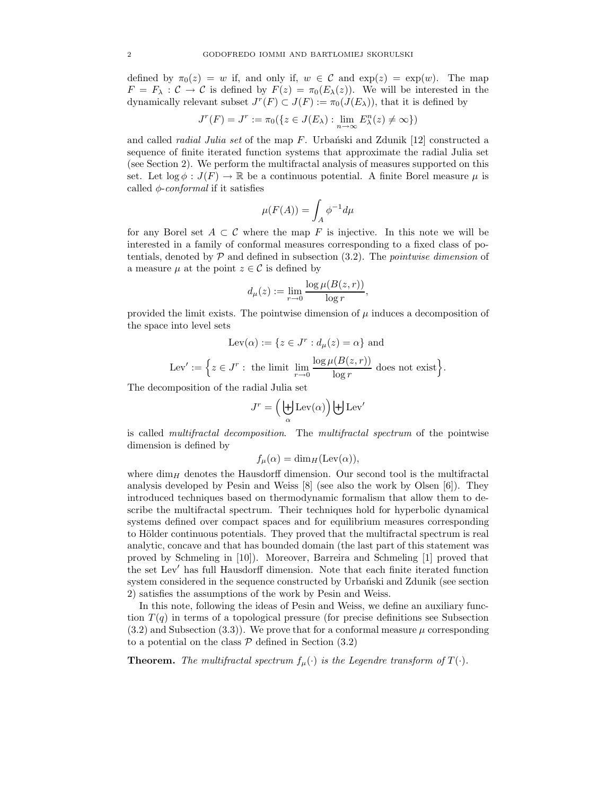defined by  $\pi_0(z) = w$  if, and only if,  $w \in \mathcal{C}$  and  $\exp(z) = \exp(w)$ . The map  $F = F_{\lambda} : C \to C$  is defined by  $F(z) = \pi_0(E_{\lambda}(z))$ . We will be interested in the dynamically relevant subset  $J^r(F) \subset J(F) := \pi_0(J(E_\lambda))$ , that it is defined by

$$
J^r(F) = J^r := \pi_0(\{z \in J(E_\lambda) : \lim_{n \to \infty} E_\lambda^n(z) \neq \infty\})
$$

and called *radial Julia set* of the map  $F$ . Urbanski and Zdunik [12] constructed a sequence of finite iterated function systems that approximate the radial Julia set (see Section 2). We perform the multifractal analysis of measures supported on this set. Let  $\log \phi : J(F) \to \mathbb{R}$  be a continuous potential. A finite Borel measure  $\mu$  is called  $\phi$ -conformal if it satisfies

$$
\mu(F(A))=\int_A\phi^{-1}d\mu
$$

for any Borel set  $A \subset \mathcal{C}$  where the map F is injective. In this note we will be interested in a family of conformal measures corresponding to a fixed class of potentials, denoted by  $P$  and defined in subsection  $(3.2)$ . The *pointwise dimension* of a measure  $\mu$  at the point  $z \in \mathcal{C}$  is defined by

$$
d_{\mu}(z) := \lim_{r \to 0} \frac{\log \mu(B(z, r))}{\log r},
$$

provided the limit exists. The pointwise dimension of  $\mu$  induces a decomposition of the space into level sets

$$
Lev(\alpha) := \{ z \in J^r : d_{\mu}(z) = \alpha \}
$$
 and

$$
Lev' := \Big\{ z \in J^r : \text{ the limit } \lim_{r \to 0} \frac{\log \mu(B(z, r))}{\log r} \text{ does not exist} \Big\}.
$$

The decomposition of the radial Julia set

$$
J^r = \left(\biguplus_{\alpha} \text{Lev}(\alpha)\right) \biguplus \text{Lev}'
$$

is called multifractal decomposition. The multifractal spectrum of the pointwise dimension is defined by

$$
f_{\mu}(\alpha) = \dim_{H}(\text{Lev}(\alpha)),
$$

where  $\dim_H$  denotes the Hausdorff dimension. Our second tool is the multifractal analysis developed by Pesin and Weiss [8] (see also the work by Olsen [6]). They introduced techniques based on thermodynamic formalism that allow them to describe the multifractal spectrum. Their techniques hold for hyperbolic dynamical systems defined over compact spaces and for equilibrium measures corresponding to Hölder continuous potentials. They proved that the multifractal spectrum is real analytic, concave and that has bounded domain (the last part of this statement was proved by Schmeling in [10]). Moreover, Barreira and Schmeling [1] proved that the set Lev' has full Hausdorff dimension. Note that each finite iterated function system considered in the sequence constructed by Urbanski and Zdunik (see section 2) satisfies the assumptions of the work by Pesin and Weiss.

In this note, following the ideas of Pesin and Weiss, we define an auxiliary function  $T(q)$  in terms of a topological pressure (for precise definitions see Subsection  $(3.2)$  and Subsection  $(3.3)$ . We prove that for a conformal measure  $\mu$  corresponding to a potential on the class  $P$  defined in Section (3.2)

**Theorem.** The multifractal spectrum  $f_{\mu}(\cdot)$  is the Legendre transform of  $T(\cdot)$ .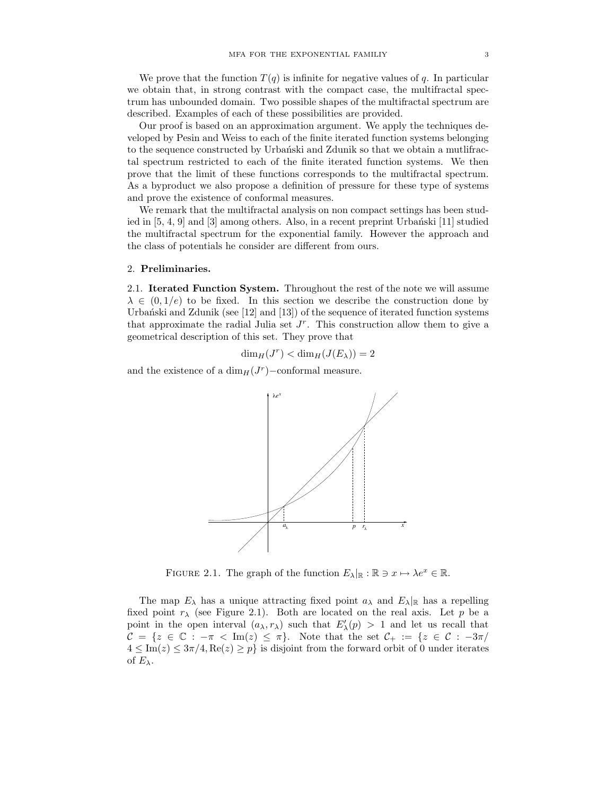We prove that the function  $T(q)$  is infinite for negative values of q. In particular we obtain that, in strong contrast with the compact case, the multifractal spectrum has unbounded domain. Two possible shapes of the multifractal spectrum are described. Examples of each of these possibilities are provided.

Our proof is based on an approximation argument. We apply the techniques developed by Pesin and Weiss to each of the finite iterated function systems belonging to the sequence constructed by Urbanski and Zdunik so that we obtain a mutlifractal spectrum restricted to each of the finite iterated function systems. We then prove that the limit of these functions corresponds to the multifractal spectrum. As a byproduct we also propose a definition of pressure for these type of systems and prove the existence of conformal measures.

We remark that the multifractal analysis on non compact settings has been studied in  $[5, 4, 9]$  and  $[3]$  among others. Also, in a recent preprint Urbanski  $[11]$  studied the multifractal spectrum for the exponential family. However the approach and the class of potentials he consider are different from ours.

### 2. Preliminaries.

2.1. Iterated Function System. Throughout the rest of the note we will assume  $\lambda \in (0, 1/e)$  to be fixed. In this section we describe the construction done by Urbański and Zdunik (see  $[12]$  and  $[13]$ ) of the sequence of iterated function systems that approximate the radial Julia set  $J<sup>r</sup>$ . This construction allow them to give a geometrical description of this set. They prove that

$$
\dim_H(J^r) < \dim_H(J(E_\lambda)) = 2
$$

and the existence of a dim $_H(J^r)$ −conformal measure.



FIGURE 2.1. The graph of the function  $E_{\lambda}|\mathbb{R} : \mathbb{R} \ni x \mapsto \lambda e^x \in \mathbb{R}$ .

The map  $E_{\lambda}$  has a unique attracting fixed point  $a_{\lambda}$  and  $E_{\lambda}$  has a repelling fixed point  $r_{\lambda}$  (see Figure 2.1). Both are located on the real axis. Let p be a point in the open interval  $(a_{\lambda}, r_{\lambda})$  such that  $E'_{\lambda}(p) > 1$  and let us recall that  $\mathcal{C} = \{z \in \mathbb{C} : -\pi < \text{Im}(z) \leq \pi\}.$  Note that the set  $\mathcal{C}_+ := \{z \in \mathcal{C} : -3\pi/$  $4 \leq \text{Im}(z) \leq 3\pi/4, \text{Re}(z) \geq p$  is disjoint from the forward orbit of 0 under iterates of  $E_{\lambda}$ .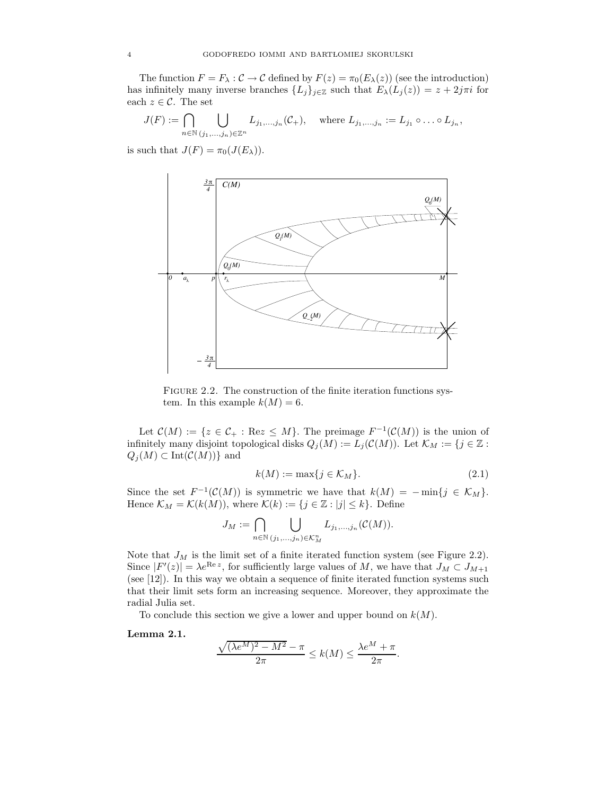The function  $F = F_\lambda : C \to C$  defined by  $F(z) = \pi_0(E_\lambda(z))$  (see the introduction) has infinitely many inverse branches  $\{L_j\}_{j\in\mathbb{Z}}$  such that  $E_{\lambda}(L_j(z)) = z + 2j\pi i$  for each  $z \in \mathcal{C}$ . The set

$$
J(F) := \bigcap_{n \in \mathbb{N}} \bigcup_{(j_1,\ldots,j_n) \in \mathbb{Z}^n} L_{j_1,\ldots,j_n}(\mathcal{C}_+), \quad \text{where } L_{j_1,\ldots,j_n} := L_{j_1} \circ \ldots \circ L_{j_n},
$$

is such that  $J(F) = \pi_0(J(E_\lambda)).$ 



FIGURE 2.2. The construction of the finite iteration functions system. In this example  $k(M) = 6$ .

Let  $\mathcal{C}(M) := \{z \in \mathcal{C}_+ : \text{Re}z \leq M\}$ . The preimage  $F^{-1}(\mathcal{C}(M))$  is the union of infinitely many disjoint topological disks  $Q_j(M) := L_j(\mathcal{C}(M))$ . Let  $\mathcal{K}_M := \{j \in \mathbb{Z} :$  $Q_j(M) \subset \text{Int}(\mathcal{C}(M))$ } and

$$
k(M) := \max\{j \in \mathcal{K}_M\}.
$$
\n
$$
(2.1)
$$

Since the set  $F^{-1}(\mathcal{C}(M))$  is symmetric we have that  $k(M) = -\min\{j \in \mathcal{K}_M\}.$ Hence  $\mathcal{K}_M = \mathcal{K}(k(M))$ , where  $\mathcal{K}(k) := \{j \in \mathbb{Z} : |j| \leq k\}$ . Define

$$
J_M := \bigcap_{n \in \mathbb{N}} \bigcup_{(j_1,\ldots,j_n) \in \mathcal{K}_M^n} L_{j_1,\ldots,j_n}(\mathcal{C}(M)).
$$

Note that  $J_M$  is the limit set of a finite iterated function system (see Figure 2.2). Since  $|F'(z)| = \lambda e^{\text{Re } z}$ , for sufficiently large values of M, we have that  $J_M \subset J_{M+1}$ (see [12]). In this way we obtain a sequence of finite iterated function systems such that their limit sets form an increasing sequence. Moreover, they approximate the radial Julia set.

To conclude this section we give a lower and upper bound on  $k(M)$ .

Lemma 2.1.

$$
\frac{\sqrt{(\lambda e^M)^2 - M^2} - \pi}{2\pi} \le k(M) \le \frac{\lambda e^M + \pi}{2\pi}.
$$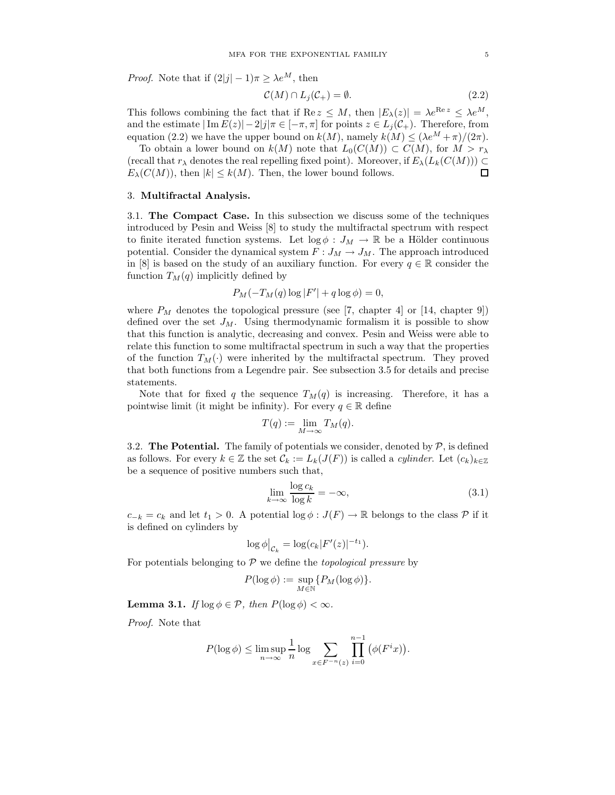*Proof.* Note that if  $(2|j| - 1)\pi \geq \lambda e^M$ , then

$$
\mathcal{C}(M) \cap L_j(\mathcal{C}_+) = \emptyset. \tag{2.2}
$$

This follows combining the fact that if Re  $z \leq M$ , then  $|E_{\lambda}(z)| = \lambda e^{\text{Re } z} \leq \lambda e^M$ , and the estimate  $|\text{Im } E(z)| - 2|j|\pi \in [-\pi, \pi]$  for points  $z \in L_j(\mathcal{C}_+)$ . Therefore, from equation (2.2) we have the upper bound on  $k(M)$ , namely  $k(M) \leq (\lambda e^M + \pi)/(2\pi)$ .

To obtain a lower bound on  $k(M)$  note that  $L_0(C(M)) \subset C(M)$ , for  $M > r_\lambda$ (recall that  $r_{\lambda}$  denotes the real repelling fixed point). Moreover, if  $E_{\lambda}(L_k(C(M))) \subset$  $E_{\lambda}(C(M))$ , then  $|k| \leq k(M)$ . Then, the lower bound follows.  $\Box$ 

## 3. Multifractal Analysis.

3.1. The Compact Case. In this subsection we discuss some of the techniques introduced by Pesin and Weiss [8] to study the multifractal spectrum with respect to finite iterated function systems. Let  $\log \phi : J_M \to \mathbb{R}$  be a Hölder continuous potential. Consider the dynamical system  $F: J_M \to J_M$ . The approach introduced in [8] is based on the study of an auxiliary function. For every  $q \in \mathbb{R}$  consider the function  $T_M(q)$  implicitly defined by

$$
P_M(-T_M(q)\log|F'|+q\log\phi)=0,
$$

where  $P_M$  denotes the topological pressure (see [7, chapter 4] or [14, chapter 9]) defined over the set  $J_M$ . Using thermodynamic formalism it is possible to show that this function is analytic, decreasing and convex. Pesin and Weiss were able to relate this function to some multifractal spectrum in such a way that the properties of the function  $T_M(\cdot)$  were inherited by the multifractal spectrum. They proved that both functions from a Legendre pair. See subsection 3.5 for details and precise statements.

Note that for fixed q the sequence  $T_M(q)$  is increasing. Therefore, it has a pointwise limit (it might be infinity). For every  $q \in \mathbb{R}$  define

$$
T(q) := \lim_{M \to \infty} T_M(q).
$$

3.2. The Potential. The family of potentials we consider, denoted by  $P$ , is defined as follows. For every  $k \in \mathbb{Z}$  the set  $\mathcal{C}_k := L_k(J(F))$  is called a *cylinder*. Let  $(c_k)_{k \in \mathbb{Z}}$ be a sequence of positive numbers such that,

$$
\lim_{k \to \infty} \frac{\log c_k}{\log k} = -\infty,\tag{3.1}
$$

 $c_{-k} = c_k$  and let  $t_1 > 0$ . A potential log  $\phi : J(F) \to \mathbb{R}$  belongs to the class P if it is defined on cylinders by

$$
\log \phi\big|_{\mathcal{C}_k} = \log(c_k|F'(z)|^{-t_1}).
$$

For potentials belonging to  $P$  we define the *topological pressure* by

$$
P(\log \phi) := \sup_{M \in \mathbb{N}} \{ P_M(\log \phi) \}.
$$

**Lemma 3.1.** If  $\log \phi \in \mathcal{P}$ , then  $P(\log \phi) < \infty$ .

Proof. Note that

$$
P(\log \phi) \le \limsup_{n \to \infty} \frac{1}{n} \log \sum_{x \in F^{-n}(z)} \prod_{i=0}^{n-1} (\phi(F^i x)).
$$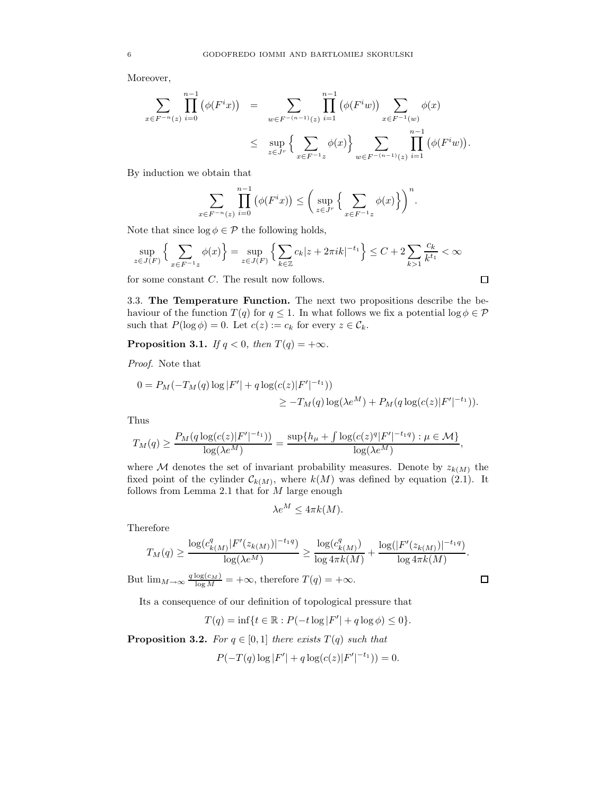Moreover,

$$
\sum_{x \in F^{-n}(z)} \prod_{i=0}^{n-1} (\phi(F^i x)) = \sum_{w \in F^{-(n-1)}(z)} \prod_{i=1}^{n-1} (\phi(F^i w)) \sum_{x \in F^{-1}(w)} \phi(x)
$$
  

$$
\leq \sup_{z \in J^r} \left\{ \sum_{x \in F^{-1}z} \phi(x) \right\} \sum_{w \in F^{-(n-1)}(z)} \prod_{i=1}^{n-1} (\phi(F^i w)).
$$

By induction we obtain that

$$
\sum_{x \in F^{-n}(z)} \prod_{i=0}^{n-1} (\phi(F^i x)) \le \left( \sup_{z \in J^r} \left\{ \sum_{x \in F^{-1}z} \phi(x) \right\} \right)^n.
$$

Note that since  $\log \phi \in \mathcal{P}$  the following holds,

$$
\sup_{z \in J(F)} \left\{ \sum_{x \in F^{-1}z} \phi(x) \right\} = \sup_{z \in J(F)} \left\{ \sum_{k \in \mathbb{Z}} c_k |z + 2\pi i k|^{-t_1} \right\} \le C + 2 \sum_{k > 1} \frac{c_k}{k^{t_1}} < \infty
$$

for some constant C. The result now follows.

3.3. The Temperature Function. The next two propositions describe the behaviour of the function  $T(q)$  for  $q \leq 1$ . In what follows we fix a potential  $\log \phi \in \mathcal{P}$ such that  $P(\log \phi) = 0$ . Let  $c(z) := c_k$  for every  $z \in \mathcal{C}_k$ .

**Proposition 3.1.** If  $q < 0$ , then  $T(q) = +\infty$ .

Proof. Note that

$$
0 = P_M(-T_M(q) \log |F'| + q \log(c(z)|F'|^{-t_1}))
$$
  

$$
\geq -T_M(q) \log(\lambda e^M) + P_M(q \log(c(z)|F'|^{-t_1})).
$$

Thus

$$
T_M(q) \ge \frac{P_M(q \log(c(z)|F'|^{-t_1}))}{\log(\lambda e^M)} = \frac{\sup\{h_\mu + \int \log(c(z)^q |F'|^{-t_1 q}) : \mu \in \mathcal{M}\}}{\log(\lambda e^M)},
$$

where M denotes the set of invariant probability measures. Denote by  $z_{k(M)}$  the fixed point of the cylinder  $\mathcal{C}_{k(M)}$ , where  $k(M)$  was defined by equation (2.1). It follows from Lemma 2.1 that for  $M$  large enough

$$
\lambda e^M \le 4\pi k(M).
$$

Therefore

$$
T_M(q) \geq \frac{\log(c_{k(M)}^q |F'(z_{k(M)})|^{-t_1 q})}{\log(\lambda e^M)} \geq \frac{\log(c_{k(M)}^q)}{\log 4\pi k(M)} + \frac{\log(|F'(z_{k(M)})|^{-t_1 q})}{\log 4\pi k(M)}.
$$

But  $\lim_{M \to \infty} \frac{q \log(c_M)}{\log M} = +\infty$ , therefore  $T(q) = +\infty$ .

Its a consequence of our definition of topological pressure that

$$
T(q) = \inf \{ t \in \mathbb{R} : P(-t \log |F'| + q \log \phi) \le 0 \}.
$$

**Proposition 3.2.** For  $q \in [0,1]$  there exists  $T(q)$  such that

$$
P(-T(q)\log|F'| + q\log(c(z)|F'|^{-t_1})) = 0.
$$

$$
\Box
$$

 $\Box$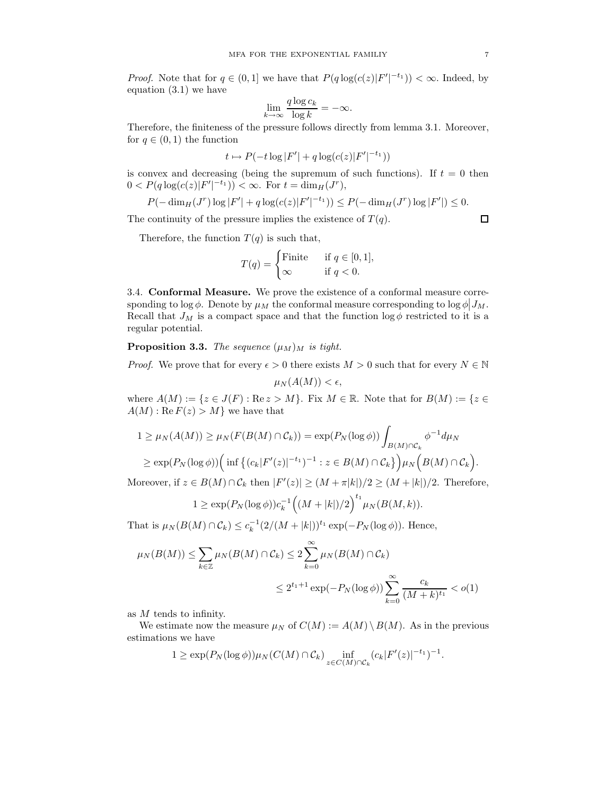*Proof.* Note that for  $q \in (0,1]$  we have that  $P(q \log(c(z)|F'|^{-t_1})) < \infty$ . Indeed, by equation (3.1) we have

$$
\lim_{k \to \infty} \frac{q \log c_k}{\log k} = -\infty.
$$

Therefore, the finiteness of the pressure follows directly from lemma 3.1. Moreover, for  $q \in (0,1)$  the function

$$
t \mapsto P(-t \log |F'| + q \log(c(z)|F'|^{-t_1}))
$$

is convex and decreasing (being the supremum of such functions). If  $t = 0$  then  $0 < P(q \log(c(z)|F'|^{-t_1})) < \infty$ . For  $t = \dim_H(J^r)$ ,

$$
P(-\dim_H(J^r)\log|F'|+q\log(c(z)|F'|^{-t_1}))\leq P(-\dim_H(J^r)\log|F'|)\leq 0.
$$

The continuity of the pressure implies the existence of  $T(q)$ .

Therefore, the function  $T(q)$  is such that,

$$
T(q) = \begin{cases} \text{Finite} & \text{if } q \in [0, 1], \\ \infty & \text{if } q < 0. \end{cases}
$$

3.4. Conformal Measure. We prove the existence of a conformal measure corresponding to  $\log \phi$ . Denote by  $\mu_M$  the conformal measure corresponding to  $\log \phi | J_M$ . Recall that  $J_M$  is a compact space and that the function  $\log \phi$  restricted to it is a regular potential.

**Proposition 3.3.** The sequence  $(\mu_M)_M$  is tight.

*Proof.* We prove that for every  $\epsilon > 0$  there exists  $M > 0$  such that for every  $N \in \mathbb{N}$ 

$$
\mu_N(A(M)) < \epsilon,
$$

where  $A(M) := \{z \in J(F) : \text{Re } z > M\}$ . Fix  $M \in \mathbb{R}$ . Note that for  $B(M) := \{z \in J(F) : \text{Re } z > M\}$ .  $A(M): \text{Re } F(z) > M$  we have that

$$
1 \geq \mu_N(A(M)) \geq \mu_N(F(B(M) \cap C_k)) = \exp(P_N(\log \phi)) \int_{B(M) \cap C_k} \phi^{-1} d\mu_N
$$
  
 
$$
\geq \exp(P_N(\log \phi)) \Big( \inf \big\{ (c_k | F'(z)|^{-t_1})^{-1} : z \in B(M) \cap C_k \big\} \Big) \mu_N \Big( B(M) \cap C_k \Big).
$$

Moreover, if  $z \in B(M) \cap C_k$  then  $|F'(z)| \ge (M + \pi |k|)/2 \ge (M + |k|)/2$ . Therefore,

$$
1 \ge \exp(P_N(\log \phi))c_k^{-1} ((M + |k|)/2)^{t_1} \mu_N(B(M, k)).
$$

That is  $\mu_N(B(M) \cap C_k) \leq c_k^{-1} (2/(M + |k|))^{t_1} \exp(-P_N(\log \phi))$ . Hence,

$$
\mu_N(B(M)) \le \sum_{k \in \mathbb{Z}} \mu_N(B(M) \cap C_k) \le 2 \sum_{k=0}^{\infty} \mu_N(B(M) \cap C_k)
$$
  

$$
\le 2^{t_1 + 1} \exp(-P_N(\log \phi)) \sum_{k=0}^{\infty} \frac{c_k}{(M+k)^{t_1}} < o(1)
$$

as M tends to infinity.

We estimate now the measure  $\mu_N$  of  $C(M) := A(M) \setminus B(M)$ . As in the previous estimations we have

$$
1 \geq \exp(P_N(\log \phi))\mu_N(C(M) \cap C_k) \inf_{z \in C(M) \cap C_k} (c_k|F'(z)|^{-t_1})^{-1}.
$$

 $\Box$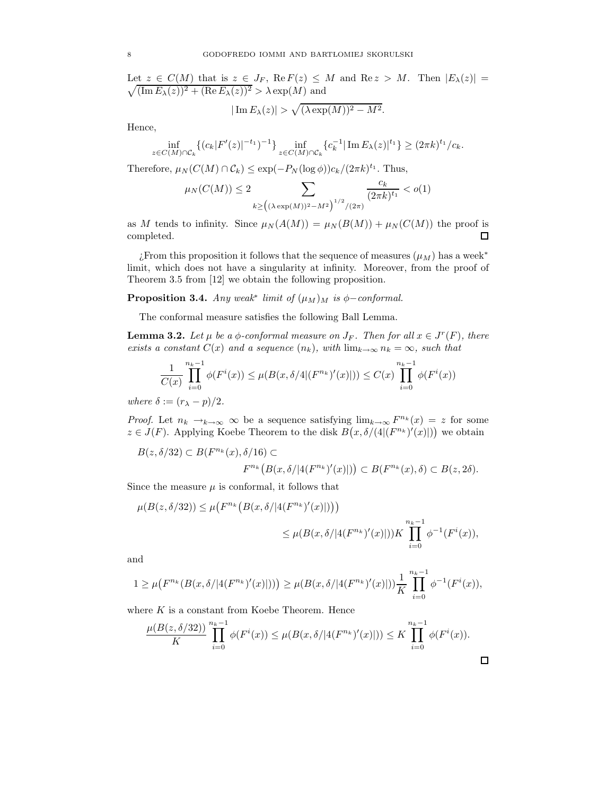$\sqrt{ }$ Let  $z \in C(M)$  that is  $z \in J_F$ , Re  $F(z) \leq M$  and Re  $z > M$ . Then  $|E_{\lambda}(z)| =$  $(\operatorname{Im} E_{\lambda}(z))^2 + (\operatorname{Re} E_{\lambda}(z))^2 > \lambda \exp(M)$  and

$$
|\operatorname{Im} E_{\lambda}(z)| > \sqrt{(\lambda \exp(M))^2 - M^2}.
$$

Hence,

$$
\inf_{z \in C(M) \cap \mathcal{C}_k} \{ (c_k |F'(z)|^{-t_1})^{-1} \} \inf_{z \in C(M) \cap \mathcal{C}_k} \{ c_k^{-1} |\operatorname{Im} E_\lambda(z)|^{t_1} \} \ge (2\pi k)^{t_1} / c_k.
$$

Therefore,  $\mu_N(C(M) \cap C_k) \leq \exp(-P_N(\log \phi))c_k/(2\pi k)^{t_1}$ . Thus,

$$
\mu_N(C(M)) \le 2 \sum_{k \ge \left( (\lambda \exp(M))^2 - M^2 \right)^{1/2} / (2\pi)} \frac{c_k}{(2\pi k)^{t_1}} < o(1)
$$

as M tends to infinity. Since  $\mu_N(A(M)) = \mu_N(B(M)) + \mu_N(C(M))$  the proof is completed.  $\Box$ 

¿From this proposition it follows that the sequence of measures  $(\mu_M)$  has a week<sup>\*</sup> limit, which does not have a singularity at infinity. Moreover, from the proof of Theorem 3.5 from [12] we obtain the following proposition.

**Proposition 3.4.** Any weak<sup>∗</sup> limit of  $(\mu_M)_M$  is  $\phi$ -conformal.

The conformal measure satisfies the following Ball Lemma.

**Lemma 3.2.** Let  $\mu$  be a  $\phi$ -conformal measure on  $J_F$ . Then for all  $x \in J^r(F)$ , there exists a constant  $C(x)$  and a sequence  $(n_k)$ , with  $\lim_{k\to\infty} n_k = \infty$ , such that

$$
\frac{1}{C(x)}\prod_{i=0}^{n_k-1}\phi(F^i(x)) \le \mu(B(x,\delta/4|(F^{n_k})'(x)|)) \le C(x)\prod_{i=0}^{n_k-1}\phi(F^i(x))
$$

where  $\delta := (r_{\lambda} - p)/2$ .

*Proof.* Let  $n_k \to_{k \to \infty} \infty$  be a sequence satisfying  $\lim_{k \to \infty} F^{n_k}(x) = z$  for some  $z \in J(F)$ . Applying Koebe Theorem to the disk  $B(x, \delta/(4|(F^{n_k})'(x)|))$  we obtain

$$
B(z, \delta/32) \subset B(F^{n_k}(x), \delta/16) \subset
$$
  

$$
F^{n_k}(B(x, \delta/|4(F^{n_k})'(x)|)) \subset B(F^{n_k}(x), \delta) \subset B(z, 2\delta).
$$

Since the measure  $\mu$  is conformal, it follows that

$$
\mu(B(z, \delta/32)) \le \mu\big(F^{n_k}\big(B(x, \delta/|4(F^{n_k})'(x)|)\big)\big) \\
\le \mu(B(x, \delta/|4(F^{n_k})'(x)|))K \prod_{i=0}^{n_k-1} \phi^{-1}(F^i(x)),
$$

and

$$
1 \geq \mu\big(F^{n_k}(B(x,\delta/|4(F^{n_k})'(x)|))\big) \geq \mu(B(x,\delta/|4(F^{n_k})'(x)|))\frac{1}{K}\prod_{i=0}^{n_k-1}\phi^{-1}(F^i(x)),
$$

where  $K$  is a constant from Koebe Theorem. Hence

$$
\frac{\mu(B(z, \delta/32))}{K} \prod_{i=0}^{n_k-1} \phi(F^i(x)) \le \mu(B(x, \delta/|4(F^{n_k})'(x)|)) \le K \prod_{i=0}^{n_k-1} \phi(F^i(x)).
$$

 $\Box$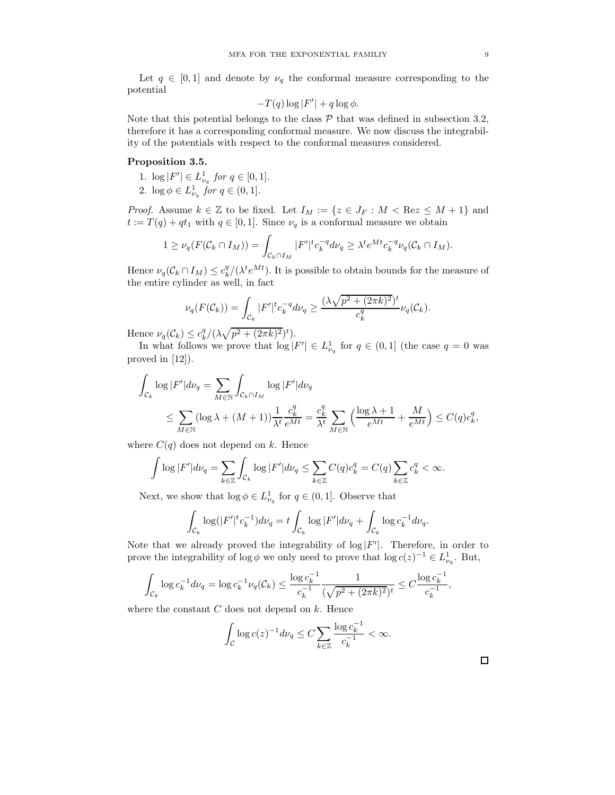Let  $q \in [0, 1]$  and denote by  $\nu_q$  the conformal measure corresponding to the potential

$$
-T(q)\log|F'| + q\log\phi.
$$

Note that this potential belongs to the class  $\mathcal P$  that was defined in subsection 3.2, therefore it has a corresponding conformal measure. We now discuss the integrability of the potentials with respect to the conformal measures considered.

## Proposition 3.5.

- 1.  $\log |F'| \in L^1_{\nu_q}$  for  $q \in [0,1]$ .
- 2.  $\log \phi \in L^1_{\nu_q}$  for  $q \in (0,1]$ .

*Proof.* Assume  $k \in \mathbb{Z}$  to be fixed. Let  $I_M := \{z \in J_F : M < \text{Re} z \leq M + 1\}$  and  $t := T(q) + qt_1$  with  $q \in [0, 1]$ . Since  $\nu_q$  is a conformal measure we obtain

$$
1 \geq \nu_q(F(\mathcal{C}_k \cap I_M)) = \int_{\mathcal{C}_k \cap I_M} |F'|^t c_k^{-q} d\nu_q \geq \lambda^t e^{Mt} c_k^{-q} \nu_q(\mathcal{C}_k \cap I_M).
$$

Hence  $\nu_q(C_k \cap I_M) \leq c_k^q/(\lambda^t e^{Mt})$ . It is possible to obtain bounds for the measure of the entire cylinder as well, in fact

$$
\nu_q(F(\mathcal{C}_k)) = \int_{\mathcal{C}_k} |F'|^t c_k^{-q} d\nu_q \ge \frac{(\lambda \sqrt{p^2 + (2\pi k)^2})^t}{c_k^q} \nu_q(\mathcal{C}_k).
$$

Hence  $\nu_q(\mathcal{C}_k) \leq c_k^q/(\lambda \sqrt{p^2 + (2\pi k)^2})^t$ .

In what follows we prove that  $\log |F'| \in L^1_{\nu_q}$  for  $q \in (0,1]$  (the case  $q = 0$  was proved in [12]).

$$
\int_{\mathcal{C}_k} \log |F'| d\nu_q = \sum_{M \in \mathbb{N}} \int_{\mathcal{C}_k \cap I_M} \log |F'| d\nu_q
$$
\n
$$
\leq \sum_{M \in \mathbb{N}} (\log \lambda + (M+1)) \frac{1}{\lambda^t} \frac{c_k^q}{e^{Mt}} = \frac{c_k^q}{\lambda^t} \sum_{M \in \mathbb{N}} \left( \frac{\log \lambda + 1}{e^{Mt}} + \frac{M}{e^{Mt}} \right) \leq C(q) c_k^q,
$$

where  $C(q)$  does not depend on k. Hence

$$
\int \log |F'| d\nu_q = \sum_{k \in \mathbb{Z}} \int_{\mathcal{C}_k} \log |F'| d\nu_q \le \sum_{k \in \mathbb{Z}} C(q) c_k^q = C(q) \sum_{k \in \mathbb{Z}} c_k^q < \infty.
$$

Next, we show that  $\log \phi \in L^1_{\nu_q}$  for  $q \in (0,1]$ . Observe that

$$
\int_{\mathcal{C}_k} \log(|F'|^t c_k^{-1}) d\nu_q = t \int_{\mathcal{C}_k} \log|F'| d\nu_q + \int_{\mathcal{C}_k} \log c_k^{-1} d\nu_q.
$$

Note that we already proved the integrability of  $log|F'|$ . Therefore, in order to prove the integrability of log  $\phi$  we only need to prove that log  $c(z)^{-1} \in L^1_{\nu_q}$ . But,

$$
\int_{\mathcal{C}_k} \log c_k^{-1} d\nu_q = \log c_k^{-1} \nu_q(\mathcal{C}_k) \le \frac{\log c_k^{-1}}{c_k^{-1}} \frac{1}{(\sqrt{p^2 + (2\pi k)^2})^t} \le C \frac{\log c_k^{-1}}{c_k^{-1}},
$$

where the constant  $C$  does not depend on  $k$ . Hence

$$
\int_{\mathcal{C}} \log c(z)^{-1} d\nu_q \le C \sum_{k \in \mathbb{Z}} \frac{\log c_k^{-1}}{c_k^{-1}} < \infty.
$$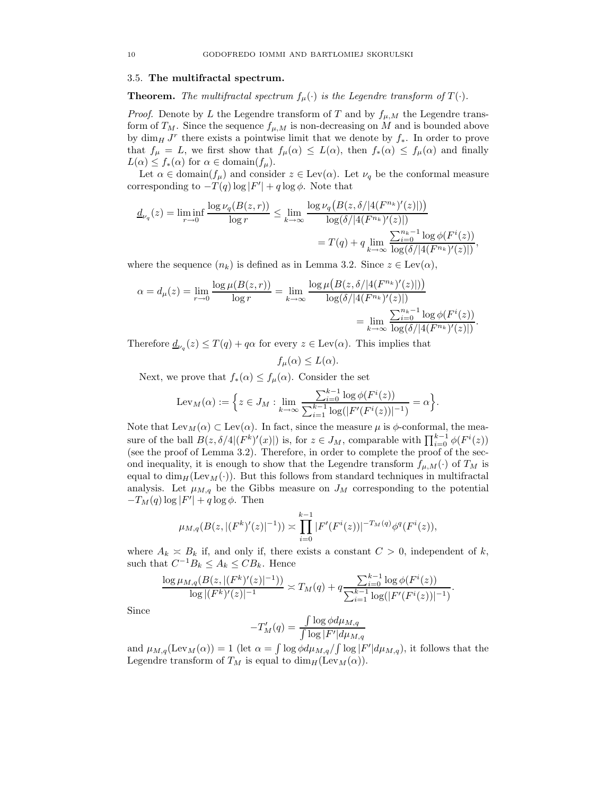#### 3.5. The multifractal spectrum.

**Theorem.** The multifractal spectrum  $f_{\mu}(\cdot)$  is the Legendre transform of  $T(\cdot)$ .

*Proof.* Denote by L the Legendre transform of T and by  $f_{\mu,M}$  the Legendre transform of  $T_M$ . Since the sequence  $f_{\mu,M}$  is non-decreasing on M and is bounded above by  $\dim_H J^r$  there exists a pointwise limit that we denote by  $f_*$ . In order to prove that  $f_{\mu} = L$ , we first show that  $f_{\mu}(\alpha) \leq L(\alpha)$ , then  $f_*(\alpha) \leq f_{\mu}(\alpha)$  and finally  $L(\alpha) \leq f_*(\alpha)$  for  $\alpha \in \text{domain}(f_\mu)$ .

Let  $\alpha \in \text{domain}(f_{\mu})$  and consider  $z \in \text{Lev}(\alpha)$ . Let  $\nu_q$  be the conformal measure corresponding to  $-T(q) \log |F'| + q \log \phi$ . Note that

$$
\underline{d}_{\nu_q}(z) = \liminf_{r \to 0} \frac{\log \nu_q(B(z,r))}{\log r} \le \lim_{k \to \infty} \frac{\log \nu_q(B(z, \delta / |4(F^{n_k})'(z)|))}{\log(\delta / |4(F^{n_k})'(z)|)}
$$

$$
= T(q) + q \lim_{k \to \infty} \frac{\sum_{i=0}^{n_k - 1} \log \phi(F^i(z))}{\log(\delta / |4(F^{n_k})'(z)|)}
$$

,

where the sequence  $(n_k)$  is defined as in Lemma 3.2. Since  $z \in \text{Lev}(\alpha)$ ,

$$
\alpha = d_{\mu}(z) = \lim_{r \to 0} \frac{\log \mu(B(z, r))}{\log r} = \lim_{k \to \infty} \frac{\log \mu(B(z, \delta/|4(F^{n_k})'(z)|))}{\log(\delta/|4(F^{n_k})'(z)|)} = \lim_{k \to \infty} \frac{\sum_{i=0}^{n_k - 1} \log \phi(F^i(z))}{\log(\delta/|4(F^{n_k})'(z)|)}.
$$

Therefore  $\underline{d}_{\nu_q}(z) \leq T(q) + q\alpha$  for every  $z \in \text{Lev}(\alpha)$ . This implies that

$$
f_{\mu}(\alpha) \le L(\alpha).
$$

Next, we prove that  $f_*(\alpha) \leq f_{\mu}(\alpha)$ . Consider the set

$$
\operatorname{Lev}_M(\alpha) := \Big\{ z \in J_M : \lim_{k \to \infty} \frac{\sum_{i=0}^{k-1} \log \phi(F^i(z))}{\sum_{i=1}^{k-1} \log(|F'(F^i(z))|^{-1})} = \alpha \Big\}.
$$

Note that  $\text{Lev}_M(\alpha) \subset \text{Lev}(\alpha)$ . In fact, since the measure  $\mu$  is  $\phi$ -conformal, the measure of the ball  $B(z, \delta/4 | (F^k)'(x)|)$  is, for  $z \in J_M$ , comparable with  $\prod_{i=0}^{k-1} \phi(F^i(z))$ (see the proof of Lemma 3.2). Therefore, in order to complete the proof of the second inequality, it is enough to show that the Legendre transform  $f_{\mu,M}(\cdot)$  of  $T_M$  is equal to  $\dim_H(\text{Lev}_M(\cdot))$ . But this follows from standard techniques in multifractal analysis. Let  $\mu_{M,q}$  be the Gibbs measure on  $J_M$  corresponding to the potential  $-T_M(q) \log |F'| + q \log \phi$ . Then

$$
\mu_{M,q}(B(z,|(F^k)'(z)|^{-1})) \asymp \prod_{i=0}^{k-1} |F'(F^i(z))|^{-T_M(q)} \phi^q(F^i(z)),
$$

where  $A_k \nightharpoonup B_k$  if, and only if, there exists a constant  $C > 0$ , independent of k, such that  $C^{-1}B_k \leq A_k \leq CB_k$ . Hence

$$
\frac{\log \mu_{M,q}(B(z,|(F^k)'(z)|^{-1}))}{\log |(F^k)'(z)|^{-1}} \asymp T_M(q) + q \frac{\sum_{i=0}^{k-1} \log \phi(F^i(z))}{\sum_{i=1}^{k-1} \log (|F'(F^i(z))|^{-1})}.
$$

Since

$$
-T'_{M}(q) = \frac{\int \log \phi d\mu_{M,q}}{\int \log |F'| d\mu_{M,q}}
$$

and  $\mu_{M,q}(\text{Lev}_M(\alpha)) = 1$  (let  $\alpha = \int \log \phi d\mu_{M,q} / \int \log |F'| d\mu_{M,q}$ ), it follows that the Legendre transform of  $T_M$  is equal to  $\dim_H(\text{Lev}_M(\alpha)).$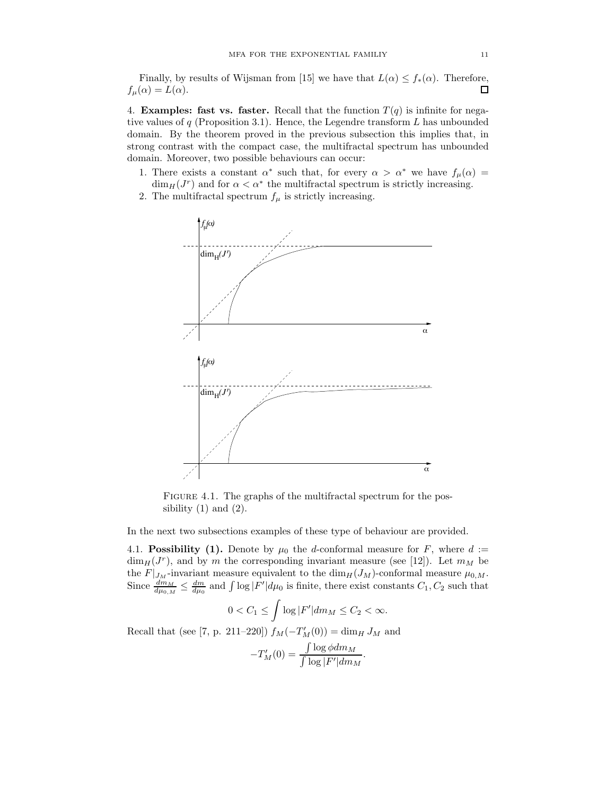Finally, by results of Wijsman from [15] we have that  $L(\alpha) \leq f_*(\alpha)$ . Therefore,  $f_{\mu}(\alpha) = L(\alpha).$  $\Box$ 

4. **Examples: fast vs. faster.** Recall that the function  $T(q)$  is infinite for negative values of  $q$  (Proposition 3.1). Hence, the Legendre transform  $L$  has unbounded domain. By the theorem proved in the previous subsection this implies that, in strong contrast with the compact case, the multifractal spectrum has unbounded domain. Moreover, two possible behaviours can occur:

- 1. There exists a constant  $\alpha^*$  such that, for every  $\alpha > \alpha^*$  we have  $f_\mu(\alpha) =$  $\dim_H(J^r)$  and for  $\alpha < \alpha^*$  the multifractal spectrum is strictly increasing.
- 2. The multifractal spectrum  $f_{\mu}$  is strictly increasing.



FIGURE 4.1. The graphs of the multifractal spectrum for the possibility  $(1)$  and  $(2)$ .

In the next two subsections examples of these type of behaviour are provided.

4.1. Possibility (1). Denote by  $\mu_0$  the d-conformal measure for F, where  $d :=$  $\dim_H(J^r)$ , and by m the corresponding invariant measure (see [12]). Let  $m_M$  be the  $F|_{J_M}$ -invariant measure equivalent to the  $\dim_H(J_M)$ -conformal measure  $\mu_{0,M}$ . Since  $\frac{dm_M}{d\mu_{0,M}} \leq \frac{dm}{d\mu_0}$  and  $\int \log |F'| d\mu_0$  is finite, there exist constants  $C_1, C_2$  such that

$$
0 < C_1 \le \int \log |F'| dm_M \le C_2 < \infty.
$$

Recall that (see [7, p. 211–220])  $f_M(-T'_M(0)) = \dim_H J_M$  and

$$
-T'_M(0) = \frac{\int \log \phi dm_M}{\int \log |F'| dm_M}.
$$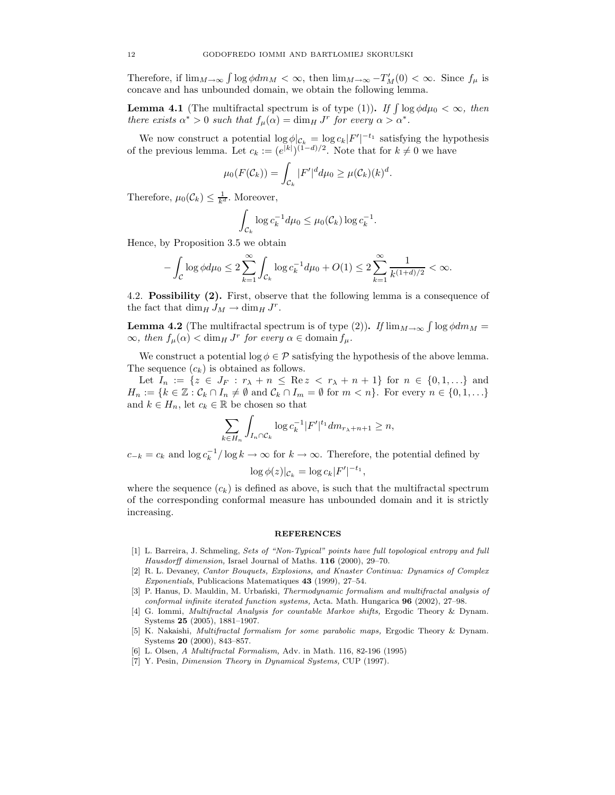Therefore, if  $\lim_{M\to\infty} \int \log \phi dm_M < \infty$ , then  $\lim_{M\to\infty} -T'_M(0) < \infty$ . Since  $f_\mu$  is concave and has unbounded domain, we obtain the following lemma.

**Lemma 4.1** (The multifractal spectrum is of type (1)). If  $\int \log \phi d\mu_0 < \infty$ , then there exists  $\alpha^* > 0$  such that  $f_\mu(\alpha) = \dim_H J^r$  for every  $\alpha > \alpha^*$ .

We now construct a potential  $\log \phi|_{\mathcal{C}_k} = \log c_k |F'|^{-t_1}$  satisfying the hypothesis of the previous lemma. Let  $c_k := (e^{|k|})^{(1-d)/2}$ . Note that for  $k \neq 0$  we have

$$
\mu_0(F(\mathcal{C}_k)) = \int_{\mathcal{C}_k} |F'|^d d\mu_0 \geq \mu(\mathcal{C}_k)(k)^d.
$$

Therefore,  $\mu_0(\mathcal{C}_k) \leq \frac{1}{k^d}$ . Moreover,

$$
\int_{\mathcal{C}_k} \log c_k^{-1} d\mu_0 \leq \mu_0(\mathcal{C}_k) \log c_k^{-1}.
$$

Hence, by Proposition 3.5 we obtain

$$
-\int_{\mathcal{C}} \log \phi d\mu_0 \le 2 \sum_{k=1}^{\infty} \int_{\mathcal{C}_k} \log c_k^{-1} d\mu_0 + O(1) \le 2 \sum_{k=1}^{\infty} \frac{1}{k^{(1+d)/2}} < \infty.
$$

4.2. Possibility (2). First, observe that the following lemma is a consequence of the fact that  $\dim_H J_M \to \dim_H J^r$ .

**Lemma 4.2** (The multifractal spectrum is of type (2)). If  $\lim_{M\to\infty} \int \log \phi dm_M =$  $\infty$ , then  $f_{\mu}(\alpha) < \dim_H J^r$  for every  $\alpha \in \text{domain } f_{\mu}$ .

We construct a potential  $\log \phi \in \mathcal{P}$  satisfying the hypothesis of the above lemma. The sequence  $(c_k)$  is obtained as follows.

Let  $I_n := \{ z \in J_F : r_\lambda + n \leq \text{Re } z < r_\lambda + n + 1 \}$  for  $n \in \{0, 1, ...\}$  and  $H_n := \{k \in \mathbb{Z} : C_k \cap I_n \neq \emptyset \text{ and } C_k \cap I_m = \emptyset \text{ for } m < n\}.$  For every  $n \in \{0, 1, ...\}$ and  $k \in H_n$ , let  $c_k \in \mathbb{R}$  be chosen so that

$$
\sum_{k \in H_n} \int_{I_n \cap \mathcal{C}_k} \log c_k^{-1} |F'|^{t_1} dm_{r_{\lambda}+n+1} \ge n,
$$

 $c_{-k} = c_k$  and  $\log c_k^{-1}/\log k \to \infty$  for  $k \to \infty$ . Therefore, the potential defined by

$$
\log \phi(z)|_{\mathcal{C}_k} = \log c_k |F'|^{-t_1},
$$

where the sequence  $(c_k)$  is defined as above, is such that the multifractal spectrum of the corresponding conformal measure has unbounded domain and it is strictly increasing.

#### **REFERENCES**

- [1] L. Barreira, J. Schmeling, Sets of "Non-Typical" points have full topological entropy and full Hausdorff dimension, Israel Journal of Maths. 116 (2000), 29-70.
- [2] R. L. Devaney, Cantor Bouquets, Explosions, and Knaster Continua: Dynamics of Complex Exponentials, Publicacions Matematiques 43 (1999), 27–54.
- [3] P. Hanus, D. Mauldin, M. Urbański, Thermodynamic formalism and multifractal analysis of conformal infinite iterated function systems, Acta. Math. Hungarica 96 (2002), 27–98.
- [4] G. Iommi, Multifractal Analysis for countable Markov shifts, Ergodic Theory & Dynam. Systems 25 (2005), 1881–1907.
- [5] K. Nakaishi, Multifractal formalism for some parabolic maps, Ergodic Theory & Dynam. Systems 20 (2000), 843–857.
- [6] L. Olsen, A Multifractal Formalism, Adv. in Math. 116, 82-196 (1995)
- [7] Y. Pesin, Dimension Theory in Dynamical Systems, CUP (1997).